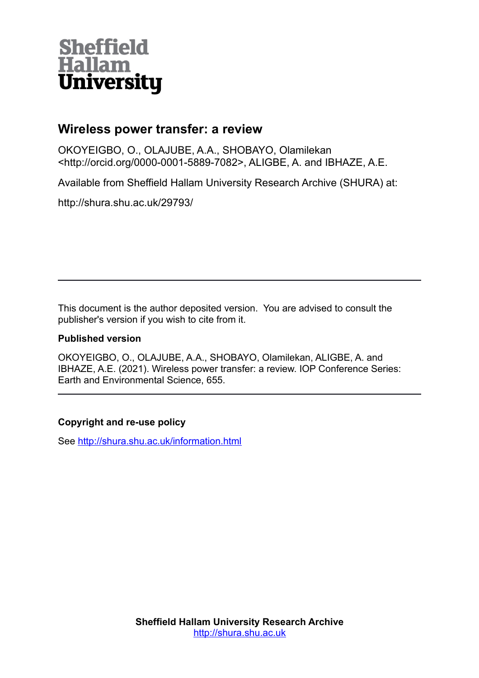# **Sheffield Hallam University**

# **Wireless power transfer: a review**

OKOYEIGBO, O., OLAJUBE, A.A., SHOBAYO, Olamilekan <http://orcid.org/0000-0001-5889-7082>, ALIGBE, A. and IBHAZE, A.E.

Available from Sheffield Hallam University Research Archive (SHURA) at:

http://shura.shu.ac.uk/29793/

This document is the author deposited version. You are advised to consult the publisher's version if you wish to cite from it.

# **Published version**

OKOYEIGBO, O., OLAJUBE, A.A., SHOBAYO, Olamilekan, ALIGBE, A. and IBHAZE, A.E. (2021). Wireless power transfer: a review. IOP Conference Series: Earth and Environmental Science, 655.

# **Copyright and re-use policy**

See<http://shura.shu.ac.uk/information.html>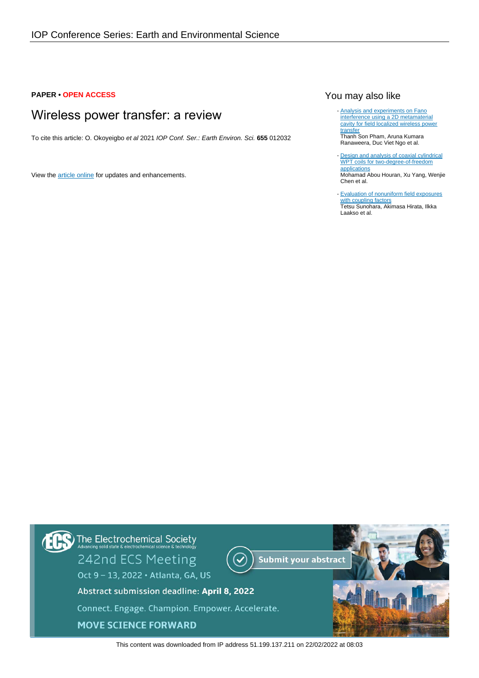### **PAPER • OPEN ACCESS**

# Wireless power transfer: a review

To cite this article: O. Okoyeigbo et al 2021 IOP Conf. Ser.: Earth Environ. Sci. **655** 012032

View the [article online](https://doi.org/10.1088/1755-1315/655/1/012032) for updates and enhancements.

# You may also like

- **[Analysis and experiments on Fano](/article/10.1088/1361-6463/aa7988)** [interference using a 2D metamaterial](/article/10.1088/1361-6463/aa7988) [cavity for field localized wireless power](/article/10.1088/1361-6463/aa7988) [transfer](/article/10.1088/1361-6463/aa7988) Thanh Son Pham, Aruna Kumara

Ranaweera, Duc Viet Ngo et al.

- [Design and analysis of coaxial cylindrical](/article/10.1088/1361-6463/abb33a) [WPT coils for two-degree-of-freedom](/article/10.1088/1361-6463/abb33a) [applications](/article/10.1088/1361-6463/abb33a) Mohamad Abou Houran, Xu Yang, Wenjie Chen et al.

- [Evaluation of nonuniform field exposures](/article/10.1088/0031-9155/60/20/8129) [with coupling factors](/article/10.1088/0031-9155/60/20/8129) Tetsu Sunohara, Akimasa Hirata, Ilkka Laakso et al.



This content was downloaded from IP address 51.199.137.211 on 22/02/2022 at 08:03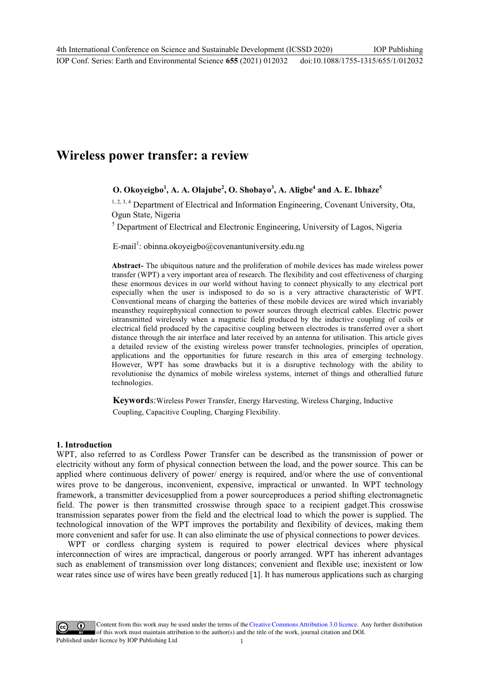# **Wireless power transfer: a review**

# $O$ . Okoyeigbo<sup>1</sup>, A. A. Olajube<sup>2</sup>, O. Shobayo<sup>3</sup>, A. Aligbe<sup>4</sup> and A. E. Ibhaze<sup>5</sup>

<sup>1, 2, 3, 4</sup> Department of Electrical and Information Engineering, Covenant University, Ota, Ogun State, Nigeria

<sup>5</sup> Department of Electrical and Electronic Engineering, University of Lagos, Nigeria

E-mail<sup>1</sup>: obinna.okoyeigbo@covenantuniversity.edu.ng

**Abstract-** The ubiquitous nature and the proliferation of mobile devices has made wireless power transfer (WPT) a very important area of research. The flexibility and cost effectiveness of charging these enormous devices in our world without having to connect physically to any electrical port especially when the user is indisposed to do so is a very attractive characteristic of WPT. Conventional means of charging the batteries of these mobile devices are wired which invariably meansthey requirephysical connection to power sources through electrical cables. Electric power istransmitted wirelessly when a magnetic field produced by the inductive coupling of coils or electrical field produced by the capacitive coupling between electrodes is transferred over a short distance through the air interface and later received by an antenna for utilisation. This article gives a detailed review of the existing wireless power transfer technologies, principles of operation, applications and the opportunities for future research in this area of emerging technology. However, WPT has some drawbacks but it is a disruptive technology with the ability to revolutionise the dynamics of mobile wireless systems, internet of things and otherallied future technologies.

**Keyword**s:Wireless Power Transfer, Energy Harvesting, Wireless Charging, Inductive Coupling, Capacitive Coupling, Charging Flexibility.

# **1. Introduction**

WPT, also referred to as Cordless Power Transfer can be described as the transmission of power or electricity without any form of physical connection between the load, and the power source. This can be applied where continuous delivery of power/ energy is required, and/or where the use of conventional wires prove to be dangerous, inconvenient, expensive, impractical or unwanted. In WPT technology framework, a transmitter devicesupplied from a power sourceproduces a period shifting electromagnetic field. The power is then transmitted crosswise through space to a recipient gadget.This crosswise transmission separates power from the field and the electrical load to which the power is supplied. The technological innovation of the WPT improves the portability and flexibility of devices, making them more convenient and safer for use. It can also eliminate the use of physical connections to power devices.

WPT or cordless charging system is required to power electrical devices where physical interconnection of wires are impractical, dangerous or poorly arranged. WPT has inherent advantages such as enablement of transmission over long distances; convenient and flexible use; inexistent or low wear rates since use of wires have been greatly reduced [1]. It has numerous applications such as charging

Content from this work may be used under the terms of theCreative Commons Attribution 3.0 licence. Any further distribution of this work must maintain attribution to the author(s) and the title of the work, journal citation and DOI. Published under licence by IOP Publishing Ltd 1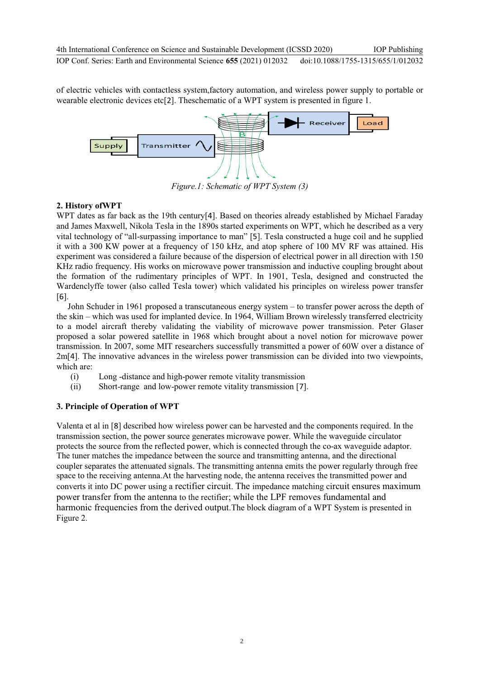of electric vehicles with contactless system,factory automation, and wireless power supply to portable or wearable electronic devices etc[2]. Theschematic of a WPT system is presented in figure 1.



*Figure.1: Schematic of WPT System (3)* 

# **2. History ofWPT**

WPT dates as far back as the 19th century<sup>[4]</sup>. Based on theories already established by Michael Faraday and James Maxwell, Nikola Tesla in the 1890s started experiments on WPT, which he described as a very vital technology of "all-surpassing importance to man" [5]. Tesla constructed a huge coil and he supplied it with a 300 KW power at a frequency of 150 kHz, and atop sphere of 100 MV RF was attained. His experiment was considered a failure because of the dispersion of electrical power in all direction with 150 KHz radio frequency. His works on microwave power transmission and inductive coupling brought about the formation of the rudimentary principles of WPT. In 1901, Tesla, designed and constructed the Wardenclyffe tower (also called Tesla tower) which validated his principles on wireless power transfer [6].

John Schuder in 1961 proposed a transcutaneous energy system – to transfer power across the depth of the skin – which was used for implanted device. In 1964, William Brown wirelessly transferred electricity to a model aircraft thereby validating the viability of microwave power transmission. Peter Glaser proposed a solar powered satellite in 1968 which brought about a novel notion for microwave power transmission. In 2007, some MIT researchers successfully transmitted a power of 60W over a distance of 2m[4]. The innovative advances in the wireless power transmission can be divided into two viewpoints, which are:

- (i) Long -distance and high-power remote vitality transmission
- (ii) Short-range and low-power remote vitality transmission [7].

# **3. Principle of Operation of WPT**

Valenta et al in [8] described how wireless power can be harvested and the components required. In the transmission section, the power source generates microwave power. While the waveguide circulator protects the source from the reflected power, which is connected through the co-ax waveguide adaptor. The tuner matches the impedance between the source and transmitting antenna, and the directional coupler separates the attenuated signals. The transmitting antenna emits the power regularly through free space to the receiving antenna.At the harvesting node, the antenna receives the transmitted power and converts it into DC power using a rectifier circuit. The impedance matching circuit ensures maximum power transfer from the antenna to the rectifier; while the LPF removes fundamental and harmonic frequencies from the derived output.The block diagram of a WPT System is presented in Figure 2.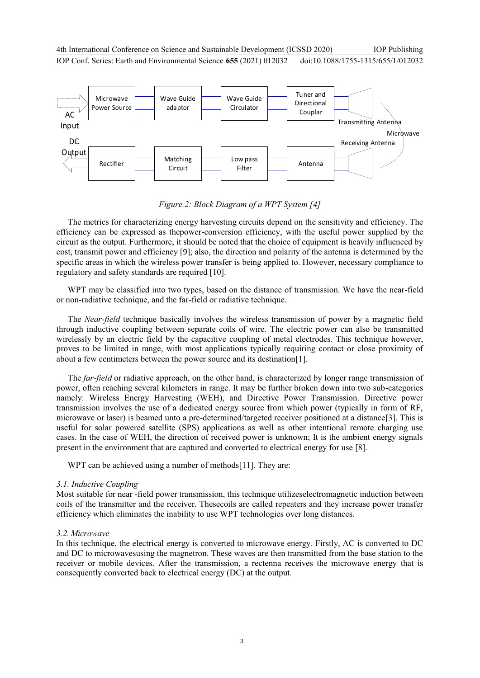

*Figure.2: Block Diagram of a WPT System [4]* 

The metrics for characterizing energy harvesting circuits depend on the sensitivity and efficiency. The efficiency can be expressed as thepower-conversion efficiency, with the useful power supplied by the circuit as the output. Furthermore, it should be noted that the choice of equipment is heavily influenced by cost, transmit power and efficiency [9]; also, the direction and polarity of the antenna is determined by the specific areas in which the wireless power transfer is being applied to. However, necessary compliance to regulatory and safety standards are required [10].

WPT may be classified into two types, based on the distance of transmission. We have the near-field or non-radiative technique, and the far-field or radiative technique.

The *Near-field* technique basically involves the wireless transmission of power by a magnetic field through inductive coupling between separate coils of wire. The electric power can also be transmitted wirelessly by an electric field by the capacitive coupling of metal electrodes. This technique however, proves to be limited in range, with most applications typically requiring contact or close proximity of about a few centimeters between the power source and its destination[1].

The *far-field* or radiative approach, on the other hand, is characterized by longer range transmission of power, often reaching several kilometers in range. It may be further broken down into two sub-categories namely: Wireless Energy Harvesting (WEH), and Directive Power Transmission. Directive power transmission involves the use of a dedicated energy source from which power (typically in form of RF, microwave or laser) is beamed unto a pre-determined/targeted receiver positioned at a distance[3]. This is useful for solar powered satellite (SPS) applications as well as other intentional remote charging use cases. In the case of WEH, the direction of received power is unknown; It is the ambient energy signals present in the environment that are captured and converted to electrical energy for use [8].

WPT can be achieved using a number of methods[11]. They are:

# *3.1. Inductive Coupling*

Most suitable for near -field power transmission, this technique utilizeselectromagnetic induction between coils of the transmitter and the receiver. Thesecoils are called repeaters and they increase power transfer efficiency which eliminates the inability to use WPT technologies over long distances.

# *3.2.Microwave*

In this technique, the electrical energy is converted to microwave energy. Firstly, AC is converted to DC and DC to microwavesusing the magnetron. These waves are then transmitted from the base station to the receiver or mobile devices. After the transmission, a rectenna receives the microwave energy that is consequently converted back to electrical energy (DC) at the output.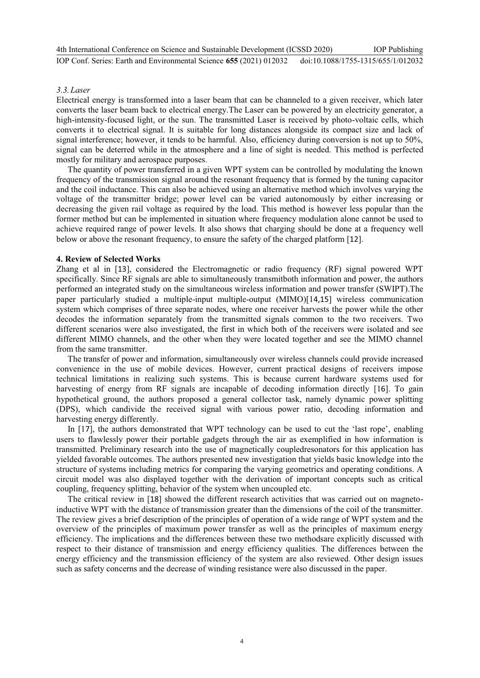#### *3.3.Laser*

Electrical energy is transformed into a laser beam that can be channeled to a given receiver, which later converts the laser beam back to electrical energy.The Laser can be powered by an electricity generator, a high-intensity-focused light, or the sun. The transmitted Laser is received by photo-voltaic cells, which converts it to electrical signal. It is suitable for long distances alongside its compact size and lack of signal interference; however, it tends to be harmful. Also, efficiency during conversion is not up to 50%, signal can be deterred while in the atmosphere and a line of sight is needed. This method is perfected mostly for military and aerospace purposes.

The quantity of power transferred in a given WPT system can be controlled by modulating the known frequency of the transmission signal around the resonant frequency that is formed by the tuning capacitor and the coil inductance. This can also be achieved using an alternative method which involves varying the voltage of the transmitter bridge; power level can be varied autonomously by either increasing or decreasing the given rail voltage as required by the load. This method is however less popular than the former method but can be implemented in situation where frequency modulation alone cannot be used to achieve required range of power levels. It also shows that charging should be done at a frequency well below or above the resonant frequency, to ensure the safety of the charged platform [12].

#### **4. Review of Selected Works**

Zhang et al in [13], considered the Electromagnetic or radio frequency (RF) signal powered WPT specifically. Since RF signals are able to simultaneously transmitboth information and power, the authors performed an integrated study on the simultaneous wireless information and power transfer (SWIPT).The paper particularly studied a multiple-input multiple-output (MIMO)[14,15] wireless communication system which comprises of three separate nodes, where one receiver harvests the power while the other decodes the information separately from the transmitted signals common to the two receivers. Two different scenarios were also investigated, the first in which both of the receivers were isolated and see different MIMO channels, and the other when they were located together and see the MIMO channel from the same transmitter.

The transfer of power and information, simultaneously over wireless channels could provide increased convenience in the use of mobile devices. However, current practical designs of receivers impose technical limitations in realizing such systems. This is because current hardware systems used for harvesting of energy from RF signals are incapable of decoding information directly [16]. To gain hypothetical ground, the authors proposed a general collector task, namely dynamic power splitting (DPS), which candivide the received signal with various power ratio, decoding information and harvesting energy differently.

In [17], the authors demonstrated that WPT technology can be used to cut the 'last rope', enabling users to flawlessly power their portable gadgets through the air as exemplified in how information is transmitted. Preliminary research into the use of magnetically coupledresonators for this application has yielded favorable outcomes. The authors presented new investigation that yields basic knowledge into the structure of systems including metrics for comparing the varying geometrics and operating conditions. A circuit model was also displayed together with the derivation of important concepts such as critical coupling, frequency splitting, behavior of the system when uncoupled etc.

The critical review in [18] showed the different research activities that was carried out on magnetoinductive WPT with the distance of transmission greater than the dimensions of the coil of the transmitter. The review gives a brief description of the principles of operation of a wide range of WPT system and the overview of the principles of maximum power transfer as well as the principles of maximum energy efficiency. The implications and the differences between these two methodsare explicitly discussed with respect to their distance of transmission and energy efficiency qualities. The differences between the energy efficiency and the transmission efficiency of the system are also reviewed. Other design issues such as safety concerns and the decrease of winding resistance were also discussed in the paper.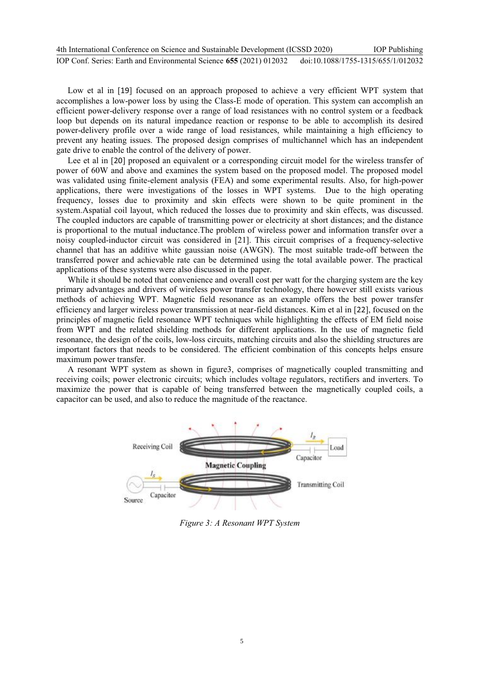| 4th International Conference on Science and Sustainable Development (ICSSD 2020) |                                    | <b>IOP</b> Publishing |
|----------------------------------------------------------------------------------|------------------------------------|-----------------------|
| IOP Conf. Series: Earth and Environmental Science 655 (2021) 012032              | doi:10.1088/1755-1315/655/1/012032 |                       |

Low et al in [19] focused on an approach proposed to achieve a very efficient WPT system that accomplishes a low-power loss by using the Class-E mode of operation. This system can accomplish an efficient power-delivery response over a range of load resistances with no control system or a feedback loop but depends on its natural impedance reaction or response to be able to accomplish its desired power-delivery profile over a wide range of load resistances, while maintaining a high efficiency to prevent any heating issues. The proposed design comprises of multichannel which has an independent gate drive to enable the control of the delivery of power.

Lee et al in [20] proposed an equivalent or a corresponding circuit model for the wireless transfer of power of 60W and above and examines the system based on the proposed model. The proposed model was validated using finite-element analysis (FEA) and some experimental results. Also, for high-power applications, there were investigations of the losses in WPT systems. Due to the high operating frequency, losses due to proximity and skin effects were shown to be quite prominent in the system.Aspatial coil layout, which reduced the losses due to proximity and skin effects, was discussed. The coupled inductors are capable of transmitting power or electricity at short distances; and the distance is proportional to the mutual inductance.The problem of wireless power and information transfer over a noisy coupled-inductor circuit was considered in [21]. This circuit comprises of a frequency-selective channel that has an additive white gaussian noise (AWGN). The most suitable trade-off between the transferred power and achievable rate can be determined using the total available power. The practical applications of these systems were also discussed in the paper.

While it should be noted that convenience and overall cost per watt for the charging system are the key primary advantages and drivers of wireless power transfer technology, there however still exists various methods of achieving WPT. Magnetic field resonance as an example offers the best power transfer efficiency and larger wireless power transmission at near-field distances. Kim et al in [22], focused on the principles of magnetic field resonance WPT techniques while highlighting the effects of EM field noise from WPT and the related shielding methods for different applications. In the use of magnetic field resonance, the design of the coils, low-loss circuits, matching circuits and also the shielding structures are important factors that needs to be considered. The efficient combination of this concepts helps ensure maximum power transfer.

A resonant WPT system as shown in figure3, comprises of magnetically coupled transmitting and receiving coils; power electronic circuits; which includes voltage regulators, rectifiers and inverters. To maximize the power that is capable of being transferred between the magnetically coupled coils, a capacitor can be used, and also to reduce the magnitude of the reactance.



*Figure 3: A Resonant WPT System*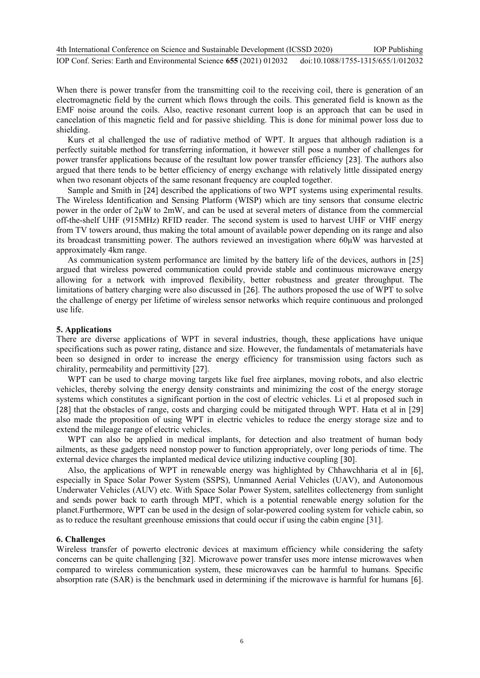When there is power transfer from the transmitting coil to the receiving coil, there is generation of an electromagnetic field by the current which flows through the coils. This generated field is known as the EMF noise around the coils. Also, reactive resonant current loop is an approach that can be used in cancelation of this magnetic field and for passive shielding. This is done for minimal power loss due to shielding.

Kurs et al challenged the use of radiative method of WPT. It argues that although radiation is a perfectly suitable method for transferring information, it however still pose a number of challenges for power transfer applications because of the resultant low power transfer efficiency [23]. The authors also argued that there tends to be better efficiency of energy exchange with relatively little dissipated energy when two resonant objects of the same resonant frequency are coupled together.

Sample and Smith in [24] described the applications of two WPT systems using experimental results. The Wireless Identification and Sensing Platform (WISP) which are tiny sensors that consume electric power in the order of 2μW to 2mW, and can be used at several meters of distance from the commercial off-the-shelf UHF (915MHz) RFID reader. The second system is used to harvest UHF or VHF energy from TV towers around, thus making the total amount of available power depending on its range and also its broadcast transmitting power. The authors reviewed an investigation where 60μW was harvested at approximately 4km range.

As communication system performance are limited by the battery life of the devices, authors in [25] argued that wireless powered communication could provide stable and continuous microwave energy allowing for a network with improved flexibility, better robustness and greater throughput. The limitations of battery charging were also discussed in [26]. The authors proposed the use of WPT to solve the challenge of energy per lifetime of wireless sensor networks which require continuous and prolonged use life.

#### **5. Applications**

There are diverse applications of WPT in several industries, though, these applications have unique specifications such as power rating, distance and size. However, the fundamentals of metamaterials have been so designed in order to increase the energy efficiency for transmission using factors such as chirality, permeability and permittivity [27].

WPT can be used to charge moving targets like fuel free airplanes, moving robots, and also electric vehicles, thereby solving the energy density constraints and minimizing the cost of the energy storage systems which constitutes a significant portion in the cost of electric vehicles. Li et al proposed such in [28] that the obstacles of range, costs and charging could be mitigated through WPT. Hata et al in [29] also made the proposition of using WPT in electric vehicles to reduce the energy storage size and to extend the mileage range of electric vehicles.

WPT can also be applied in medical implants, for detection and also treatment of human body ailments, as these gadgets need nonstop power to function appropriately, over long periods of time. The external device charges the implanted medical device utilizing inductive coupling [30].

Also, the applications of WPT in renewable energy was highlighted by Chhawchharia et al in [6], especially in Space Solar Power System (SSPS), Unmanned Aerial Vehicles (UAV), and Autonomous Underwater Vehicles (AUV) etc. With Space Solar Power System, satellites collectenergy from sunlight and sends power back to earth through MPT, which is a potential renewable energy solution for the planet.Furthermore, WPT can be used in the design of solar-powered cooling system for vehicle cabin, so as to reduce the resultant greenhouse emissions that could occur if using the cabin engine [31].

#### **6. Challenges**

Wireless transfer of powerto electronic devices at maximum efficiency while considering the safety concerns can be quite challenging [32]. Microwave power transfer uses more intense microwaves when compared to wireless communication system, these microwaves can be harmful to humans. Specific absorption rate (SAR) is the benchmark used in determining if the microwave is harmful for humans [6].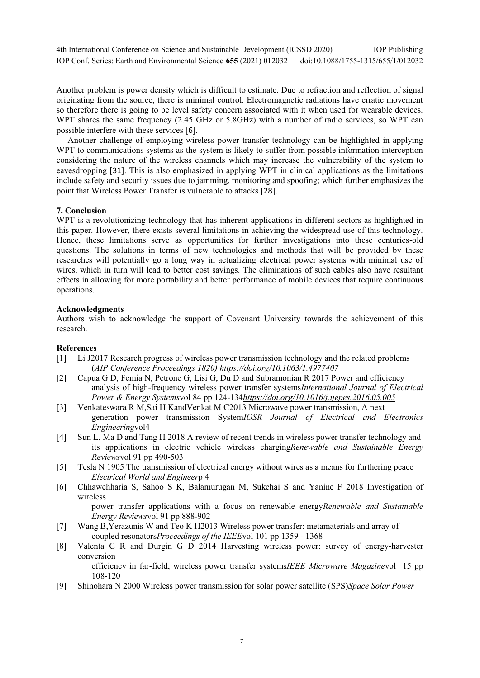Another problem is power density which is difficult to estimate. Due to refraction and reflection of signal originating from the source, there is minimal control. Electromagnetic radiations have erratic movement so therefore there is going to be level safety concern associated with it when used for wearable devices. WPT shares the same frequency (2.45 GHz or 5.8GHz) with a number of radio services, so WPT can possible interfere with these services [6].

Another challenge of employing wireless power transfer technology can be highlighted in applying WPT to communications systems as the system is likely to suffer from possible information interception considering the nature of the wireless channels which may increase the vulnerability of the system to eavesdropping [31]. This is also emphasized in applying WPT in clinical applications as the limitations include safety and security issues due to jamming, monitoring and spoofing; which further emphasizes the point that Wireless Power Transfer is vulnerable to attacks [28].

### **7. Conclusion**

WPT is a revolutionizing technology that has inherent applications in different sectors as highlighted in this paper. However, there exists several limitations in achieving the widespread use of this technology. Hence, these limitations serve as opportunities for further investigations into these centuries-old questions. The solutions in terms of new technologies and methods that will be provided by these researches will potentially go a long way in actualizing electrical power systems with minimal use of wires, which in turn will lead to better cost savings. The eliminations of such cables also have resultant effects in allowing for more portability and better performance of mobile devices that require continuous operations.

#### **Acknowledgments**

Authors wish to acknowledge the support of Covenant University towards the achievement of this research.

# **References**

- [1] Li J2017 Research progress of wireless power transmission technology and the related problems (*AIP Conference Proceedings 1820) https://doi.org/10.1063/1.4977407*
- [2] Capua G D, Femia N, Petrone G, Lisi G, Du D and Subramonian R 2017 Power and efficiency analysis of high-frequency wireless power transfer systems*International Journal of Electrical Power & Energy Systems*vol 84 pp 124-134*https://doi.org/10.1016/j.ijepes.2016.05.005*
- [3] Venkateswara R M,Sai H KandVenkat M C2013 Microwave power transmission, A next generation power transmission System*IOSR Journal of Electrical and Electronics Engineering*vol4
- [4] Sun L, Ma D and Tang H 2018 A review of recent trends in wireless power transfer technology and its applications in electric vehicle wireless charging*Renewable and Sustainable Energy Reviews*vol 91 pp 490-503
- [5] Tesla N 1905 The transmission of electrical energy without wires as a means for furthering peace *Electrical World and Engineer*p 4
- [6] Chhawchharia S, Sahoo S K, Balamurugan M, Sukchai S and Yanine F 2018 Investigation of wireless

power transfer applications with a focus on renewable energy*Renewable and Sustainable Energy Reviews*vol 91 pp 888-902

- [7] Wang B,Yerazunis W and Teo K H2013 Wireless power transfer: metamaterials and array of coupled resonators*Proceedings of the IEEE*vol 101 pp 1359 - 1368
- [8] Valenta C R and Durgin G D 2014 Harvesting wireless power: survey of energy-harvester conversion

efficiency in far-field, wireless power transfer systems*IEEE Microwave Magazine*vol 15 pp 108-120

[9] Shinohara N 2000 Wireless power transmission for solar power satellite (SPS)*Space Solar Power*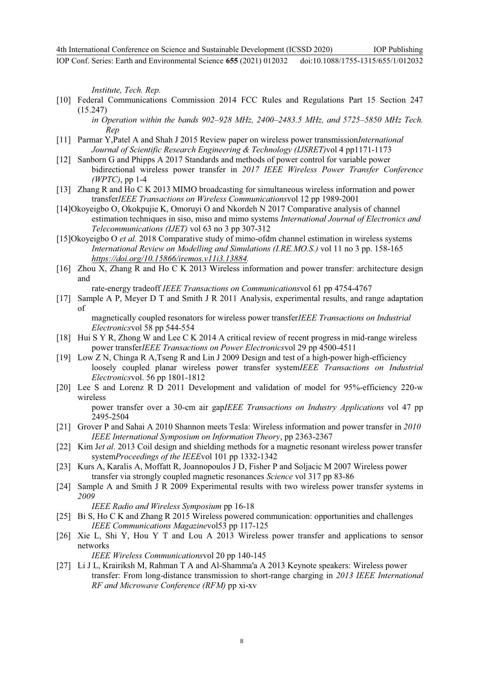*Institute, Tech. Rep.*

- [10] Federal Communications Commission 2014 FCC Rules and Regulations Part 15 Section 247 (15.247)
	- *in Operation within the bands 902–928 MHz, 2400–2483.5 MHz, and 5725–5850 MHz Tech. Rep*
- [11] Parmar Y,Patel A and Shah J 2015 Review paper on wireless power transmission*International Journal of Scientific Research Engineering & Technology (IJSRET)*vol 4 pp1171-1173
- [12] Sanborn G and Phipps A 2017 Standards and methods of power control for variable power bidirectional wireless power transfer in *2017 IEEE Wireless Power Transfer Conference (WPTC)*, pp 1-4
- [13] Zhang R and Ho C K 2013 MIMO broadcasting for simultaneous wireless information and power transfer*IEEE Transactions on Wireless Communications*vol 12 pp 1989-2001
- [14]Okoyeigbo O, Okokpujie K, Omoruyi O and Nkordeh N 2017 Comparative analysis of channel estimation techniques in siso, miso and mimo systems *International Journal of Electronics and Telecommunications (IJET)* vol 63 no 3 pp 307-312
- [15]Okoyeigbo O *et al.* 2018 Comparative study of mimo-ofdm channel estimation in wireless systems *International Review on Modelling and Simulations (I.RE.MO.S.)* vol 11 no 3 pp. 158-165 *https://doi.org/10.15866/iremos.v11i3.13884.*
- [16] Zhou X, Zhang R and Ho C K 2013 Wireless information and power transfer: architecture design and

rate-energy tradeoff *IEEE Transactions on Communications*vol 61 pp 4754-4767

[17] Sample A P, Meyer D T and Smith J R 2011 Analysis, experimental results, and range adaptation of

magnetically coupled resonators for wireless power transfer*IEEE Transactions on Industrial Electronics*vol 58 pp 544-554

- [18] Hui S Y R, Zhong W and Lee C K 2014 A critical review of recent progress in mid-range wireless power transfer*IEEE Transactions on Power Electronics*vol 29 pp 4500-4511
- [19] Low Z N, Chinga R A,Tseng R and Lin J 2009 Design and test of a high-power high-efficiency loosely coupled planar wireless power transfer system*IEEE Transactions on Industrial Electronics*vol. 56 pp 1801-1812
- [20] Lee S and Lorenz R D 2011 Development and validation of model for 95%-efficiency 220-w wireless

power transfer over a 30-cm air gap*IEEE Transactions on Industry Applications* vol 47 pp 2495-2504

- [21] Grover P and Sahai A 2010 Shannon meets Tesla: Wireless information and power transfer in *2010 IEEE International Symposium on Information Theory*, pp 2363-2367
- [22] Kim J*et al.* 2013 Coil design and shielding methods for a magnetic resonant wireless power transfer system*Proceedings of the IEEE*vol 101 pp 1332-1342
- [23] Kurs A, Karalis A, Moffatt R, Joannopoulos J D, Fisher P and Soljacic M 2007 Wireless power transfer via strongly coupled magnetic resonances *Science* vol 317 pp 83-86
- [24] Sample A and Smith J R 2009 Experimental results with two wireless power transfer systems in *2009*

*IEEE Radio and Wireless Symposium* pp 16-18

- [25] Bi S, Ho C K and Zhang R 2015 Wireless powered communication: opportunities and challenges *IEEE Communications Magazine*vol53 pp 117-125
- [26] Xie L, Shi Y, Hou Y T and Lou A 2013 Wireless power transfer and applications to sensor networks

*IEEE Wireless Communications*vol 20 pp 140-145

[27] Li J L, Krairiksh M, Rahman T A and Al-Shamma'a A 2013 Keynote speakers: Wireless power transfer: From long-distance transmission to short-range charging in *2013 IEEE International RF and Microwave Conference (RFM)* pp xi-xv